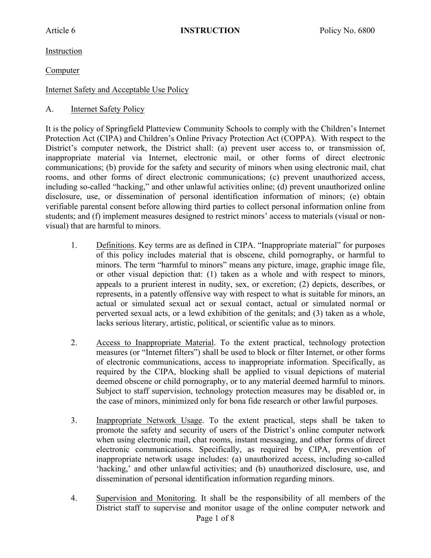Instruction

Computer

## Internet Safety and Acceptable Use Policy

A. Internet Safety Policy

It is the policy of Springfield Platteview Community Schools to comply with the Children's Internet Protection Act (CIPA) and Children's Online Privacy Protection Act (COPPA). With respect to the District's computer network, the District shall: (a) prevent user access to, or transmission of, inappropriate material via Internet, electronic mail, or other forms of direct electronic communications; (b) provide for the safety and security of minors when using electronic mail, chat rooms, and other forms of direct electronic communications; (c) prevent unauthorized access, including so-called "hacking," and other unlawful activities online; (d) prevent unauthorized online disclosure, use, or dissemination of personal identification information of minors; (e) obtain verifiable parental consent before allowing third parties to collect personal information online from students; and (f) implement measures designed to restrict minors' access to materials (visual or nonvisual) that are harmful to minors.

- 1. Definitions. Key terms are as defined in CIPA. "Inappropriate material" for purposes of this policy includes material that is obscene, child pornography, or harmful to minors. The term "harmful to minors" means any picture, image, graphic image file, or other visual depiction that: (1) taken as a whole and with respect to minors, appeals to a prurient interest in nudity, sex, or excretion; (2) depicts, describes, or represents, in a patently offensive way with respect to what is suitable for minors, an actual or simulated sexual act or sexual contact, actual or simulated normal or perverted sexual acts, or a lewd exhibition of the genitals; and (3) taken as a whole, lacks serious literary, artistic, political, or scientific value as to minors.
- 2. Access to Inappropriate Material. To the extent practical, technology protection measures (or "Internet filters") shall be used to block or filter Internet, or other forms of electronic communications, access to inappropriate information. Specifically, as required by the CIPA, blocking shall be applied to visual depictions of material deemed obscene or child pornography, or to any material deemed harmful to minors. Subject to staff supervision, technology protection measures may be disabled or, in the case of minors, minimized only for bona fide research or other lawful purposes.
- 3. Inappropriate Network Usage. To the extent practical, steps shall be taken to promote the safety and security of users of the District's online computer network when using electronic mail, chat rooms, instant messaging, and other forms of direct electronic communications. Specifically, as required by CIPA, prevention of inappropriate network usage includes: (a) unauthorized access, including so-called 'hacking,' and other unlawful activities; and (b) unauthorized disclosure, use, and dissemination of personal identification information regarding minors.
- Page 1 of 8 4. Supervision and Monitoring. It shall be the responsibility of all members of the District staff to supervise and monitor usage of the online computer network and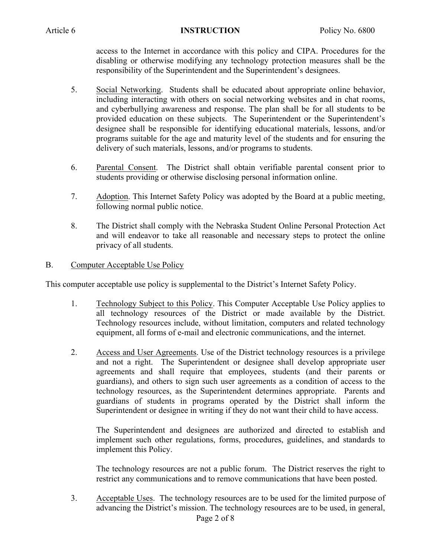access to the Internet in accordance with this policy and CIPA. Procedures for the disabling or otherwise modifying any technology protection measures shall be the responsibility of the Superintendent and the Superintendent's designees.

- 5. Social Networking. Students shall be educated about appropriate online behavior, including interacting with others on social networking websites and in chat rooms, and cyberbullying awareness and response. The plan shall be for all students to be provided education on these subjects. The Superintendent or the Superintendent's designee shall be responsible for identifying educational materials, lessons, and/or programs suitable for the age and maturity level of the students and for ensuring the delivery of such materials, lessons, and/or programs to students.
- 6. Parental Consent. The District shall obtain verifiable parental consent prior to students providing or otherwise disclosing personal information online.
- 7. Adoption. This Internet Safety Policy was adopted by the Board at a public meeting, following normal public notice.
- 8. The District shall comply with the Nebraska Student Online Personal Protection Act and will endeavor to take all reasonable and necessary steps to protect the online privacy of all students.

#### B. Computer Acceptable Use Policy

This computer acceptable use policy is supplemental to the District's Internet Safety Policy.

- 1. Technology Subject to this Policy. This Computer Acceptable Use Policy applies to all technology resources of the District or made available by the District. Technology resources include, without limitation, computers and related technology equipment, all forms of e-mail and electronic communications, and the internet.
- 2. Access and User Agreements. Use of the District technology resources is a privilege and not a right. The Superintendent or designee shall develop appropriate user agreements and shall require that employees, students (and their parents or guardians), and others to sign such user agreements as a condition of access to the technology resources, as the Superintendent determines appropriate. Parents and guardians of students in programs operated by the District shall inform the Superintendent or designee in writing if they do not want their child to have access.

The Superintendent and designees are authorized and directed to establish and implement such other regulations, forms, procedures, guidelines, and standards to implement this Policy.

The technology resources are not a public forum. The District reserves the right to restrict any communications and to remove communications that have been posted.

Page 2 of 8 3. Acceptable Uses. The technology resources are to be used for the limited purpose of advancing the District's mission. The technology resources are to be used, in general,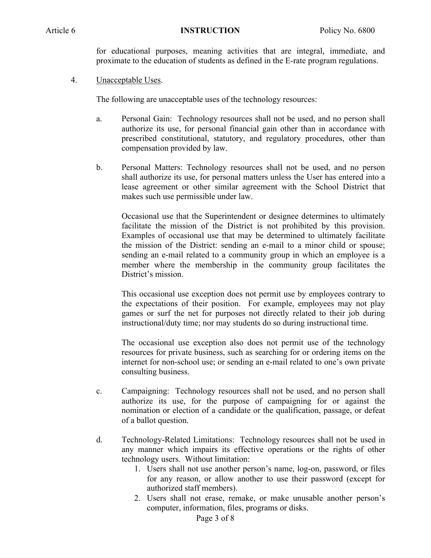for educational purposes, meaning activities that are integral, immediate, and proximate to the education of students as defined in the E-rate program regulations.

4. Unacceptable Uses.

The following are unacceptable uses of the technology resources:

- a. Personal Gain: Technology resources shall not be used, and no person shall authorize its use, for personal financial gain other than in accordance with prescribed constitutional, statutory, and regulatory procedures, other than compensation provided by law.
- b. Personal Matters: Technology resources shall not be used, and no person shall authorize its use, for personal matters unless the User has entered into a lease agreement or other similar agreement with the School District that makes such use permissible under law.

Occasional use that the Superintendent or designee determines to ultimately facilitate the mission of the District is not prohibited by this provision. Examples of occasional use that may be determined to ultimately facilitate the mission of the District: sending an e-mail to a minor child or spouse; sending an e-mail related to a community group in which an employee is a member where the membership in the community group facilitates the District's mission.

This occasional use exception does not permit use by employees contrary to the expectations of their position. For example, employees may not play games or surf the net for purposes not directly related to their job during instructional/duty time; nor may students do so during instructional time.

The occasional use exception also does not permit use of the technology resources for private business, such as searching for or ordering items on the internet for non-school use; or sending an e-mail related to one's own private consulting business.

- c. Campaigning: Technology resources shall not be used, and no person shall authorize its use, for the purpose of campaigning for or against the nomination or election of a candidate or the qualification, passage, or defeat of a ballot question.
- d. Technology-Related Limitations: Technology resources shall not be used in any manner which impairs its effective operations or the rights of other technology users. Without limitation:
	- 1. Users shall not use another person's name, log-on, password, or files for any reason, or allow another to use their password (except for authorized staff members).
	- 2. Users shall not erase, remake, or make unusable another person's computer, information, files, programs or disks.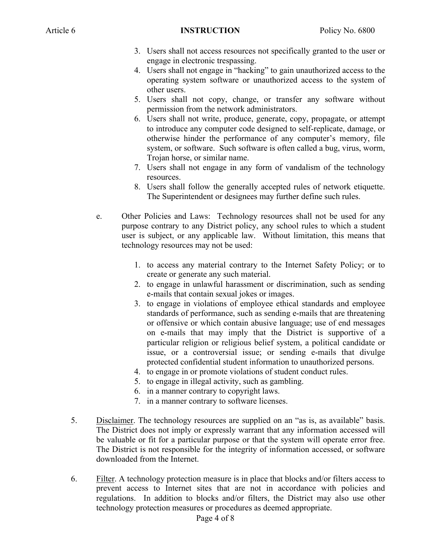- 3. Users shall not access resources not specifically granted to the user or engage in electronic trespassing.
- 4. Users shall not engage in "hacking" to gain unauthorized access to the operating system software or unauthorized access to the system of other users.
- 5. Users shall not copy, change, or transfer any software without permission from the network administrators.
- 6. Users shall not write, produce, generate, copy, propagate, or attempt to introduce any computer code designed to self-replicate, damage, or otherwise hinder the performance of any computer's memory, file system, or software. Such software is often called a bug, virus, worm, Trojan horse, or similar name.
- 7. Users shall not engage in any form of vandalism of the technology resources.
- 8. Users shall follow the generally accepted rules of network etiquette. The Superintendent or designees may further define such rules.
- e. Other Policies and Laws: Technology resources shall not be used for any purpose contrary to any District policy, any school rules to which a student user is subject, or any applicable law. Without limitation, this means that technology resources may not be used:
	- 1. to access any material contrary to the Internet Safety Policy; or to create or generate any such material.
	- 2. to engage in unlawful harassment or discrimination, such as sending e-mails that contain sexual jokes or images.
	- 3. to engage in violations of employee ethical standards and employee standards of performance, such as sending e-mails that are threatening or offensive or which contain abusive language; use of end messages on e-mails that may imply that the District is supportive of a particular religion or religious belief system, a political candidate or issue, or a controversial issue; or sending e-mails that divulge protected confidential student information to unauthorized persons.
	- 4. to engage in or promote violations of student conduct rules.
	- 5. to engage in illegal activity, such as gambling.
	- 6. in a manner contrary to copyright laws.
	- 7. in a manner contrary to software licenses.
- 5. Disclaimer. The technology resources are supplied on an "as is, as available" basis. The District does not imply or expressly warrant that any information accessed will be valuable or fit for a particular purpose or that the system will operate error free. The District is not responsible for the integrity of information accessed, or software downloaded from the Internet.
- 6. Filter. A technology protection measure is in place that blocks and/or filters access to prevent access to Internet sites that are not in accordance with policies and regulations. In addition to blocks and/or filters, the District may also use other technology protection measures or procedures as deemed appropriate.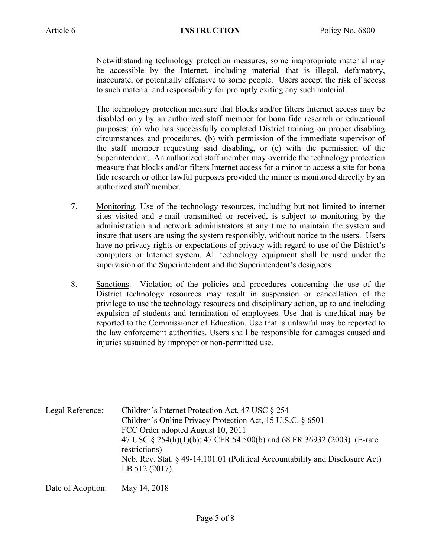Notwithstanding technology protection measures, some inappropriate material may be accessible by the Internet, including material that is illegal, defamatory, inaccurate, or potentially offensive to some people. Users accept the risk of access to such material and responsibility for promptly exiting any such material.

The technology protection measure that blocks and/or filters Internet access may be disabled only by an authorized staff member for bona fide research or educational purposes: (a) who has successfully completed District training on proper disabling circumstances and procedures, (b) with permission of the immediate supervisor of the staff member requesting said disabling, or (c) with the permission of the Superintendent. An authorized staff member may override the technology protection measure that blocks and/or filters Internet access for a minor to access a site for bona fide research or other lawful purposes provided the minor is monitored directly by an authorized staff member.

- 7. Monitoring. Use of the technology resources, including but not limited to internet sites visited and e-mail transmitted or received, is subject to monitoring by the administration and network administrators at any time to maintain the system and insure that users are using the system responsibly, without notice to the users. Users have no privacy rights or expectations of privacy with regard to use of the District's computers or Internet system. All technology equipment shall be used under the supervision of the Superintendent and the Superintendent's designees.
- 8. Sanctions. Violation of the policies and procedures concerning the use of the District technology resources may result in suspension or cancellation of the privilege to use the technology resources and disciplinary action, up to and including expulsion of students and termination of employees. Use that is unethical may be reported to the Commissioner of Education. Use that is unlawful may be reported to the law enforcement authorities. Users shall be responsible for damages caused and injuries sustained by improper or non-permitted use.

| Legal Reference: | Children's Internet Protection Act, 47 USC § 254<br>Children's Online Privacy Protection Act, 15 U.S.C. § 6501<br>FCC Order adopted August 10, 2011 |
|------------------|-----------------------------------------------------------------------------------------------------------------------------------------------------|
|                  | 47 USC § 254(h)(1)(b); 47 CFR 54.500(b) and 68 FR 36932 (2003) (E-rate<br>restrictions)                                                             |
|                  | Neb. Rev. Stat. § 49-14,101.01 (Political Accountability and Disclosure Act)<br>LB $512(2017)$ .                                                    |

Date of Adoption: May 14, 2018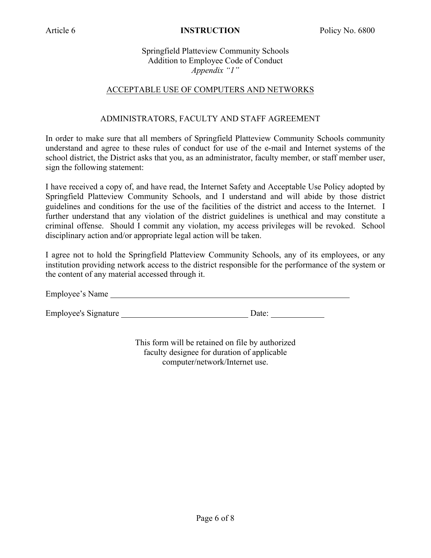Springfield Platteview Community Schools Addition to Employee Code of Conduct *Appendix "1"*

### ACCEPTABLE USE OF COMPUTERS AND NETWORKS

### ADMINISTRATORS, FACULTY AND STAFF AGREEMENT

In order to make sure that all members of Springfield Platteview Community Schools community understand and agree to these rules of conduct for use of the e-mail and Internet systems of the school district, the District asks that you, as an administrator, faculty member, or staff member user, sign the following statement:

I have received a copy of, and have read, the Internet Safety and Acceptable Use Policy adopted by Springfield Platteview Community Schools, and I understand and will abide by those district guidelines and conditions for the use of the facilities of the district and access to the Internet. I further understand that any violation of the district guidelines is unethical and may constitute a criminal offense. Should I commit any violation, my access privileges will be revoked. School disciplinary action and/or appropriate legal action will be taken.

I agree not to hold the Springfield Platteview Community Schools, any of its employees, or any institution providing network access to the district responsible for the performance of the system or the content of any material accessed through it.

Employee's Name

Employee's Signature Date:

This form will be retained on file by authorized faculty designee for duration of applicable computer/network/Internet use.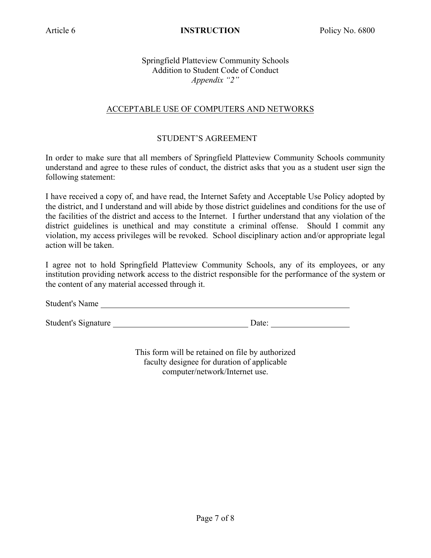### Springfield Platteview Community Schools Addition to Student Code of Conduct *Appendix "2"*

### ACCEPTABLE USE OF COMPUTERS AND NETWORKS

### STUDENT'S AGREEMENT

In order to make sure that all members of Springfield Platteview Community Schools community understand and agree to these rules of conduct, the district asks that you as a student user sign the following statement:

I have received a copy of, and have read, the Internet Safety and Acceptable Use Policy adopted by the district, and I understand and will abide by those district guidelines and conditions for the use of the facilities of the district and access to the Internet. I further understand that any violation of the district guidelines is unethical and may constitute a criminal offense. Should I commit any violation, my access privileges will be revoked. School disciplinary action and/or appropriate legal action will be taken.

I agree not to hold Springfield Platteview Community Schools, any of its employees, or any institution providing network access to the district responsible for the performance of the system or the content of any material accessed through it.

Student's Name

Student's Signature Date:

This form will be retained on file by authorized faculty designee for duration of applicable computer/network/Internet use.